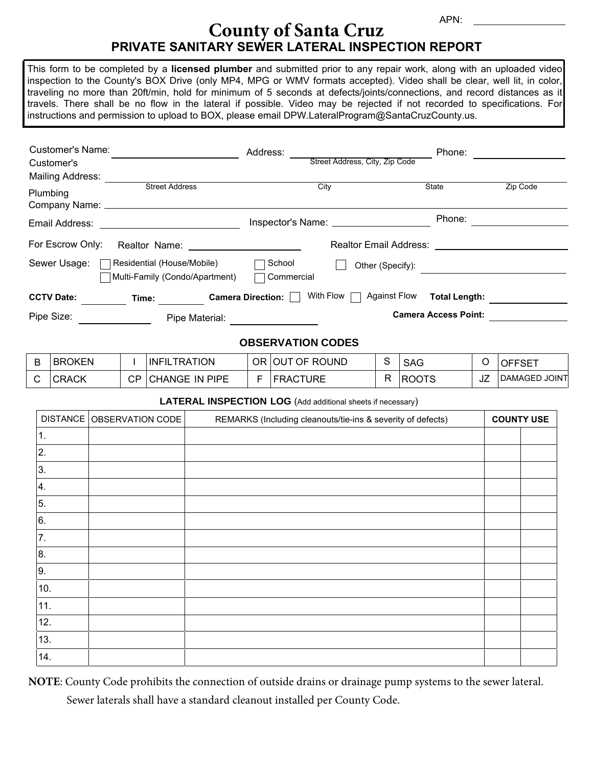## **PRIVATE SANITARY SEWER LATERAL INSPECTION REPORT County of Santa Cruz**

This form to be completed by a **licensed plumber** and submitted prior to any repair work, along with an uploaded video inspection to the County's BOX Drive (only MP4, MPG or WMV formats accepted). Video shall be clear, well lit, in color, traveling no more than 20ft/min, hold for minimum of 5 seconds at defects/joints/connections, and record distances as it travels. There shall be no flow in the lateral if possible. Video may be rejected if not recorded to specifications. For instructions and permission to upload to BOX, please email DPW.LateralProgram@SantaCruzCounty.us.

| Customer's Name:<br>Customer's<br>Mailing Address: |                                                              | Address:<br>Street Address, City, Zip Code                     | Phone:                      |          |  |  |
|----------------------------------------------------|--------------------------------------------------------------|----------------------------------------------------------------|-----------------------------|----------|--|--|
| Plumbing                                           | <b>Street Address</b>                                        | City                                                           | State                       | Zip Code |  |  |
| Email Address:                                     |                                                              |                                                                | Phone:                      |          |  |  |
| For Escrow Only:                                   | Realtor Name:                                                | <b>Realtor Email Address:</b>                                  |                             |          |  |  |
| Sewer Usage:                                       | Residential (House/Mobile)<br>Multi-Family (Condo/Apartment) | School<br>Other (Specify):<br>Commercial                       |                             |          |  |  |
| <b>CCTV Date:</b>                                  | Time:                                                        | With Flow [<br><b>Against Flow</b><br><b>Camera Direction:</b> | <b>Total Length:</b>        |          |  |  |
| Pipe Size:                                         | Pipe Material:                                               |                                                                | <b>Camera Access Point:</b> |          |  |  |

## **OBSERVATION CODES**

| <b>BROKEN</b> |     | <b>INFILTRATION</b>   | OR OUT OF ROUND  | <b>SAG</b>   |    | <b>IOFFSET</b> |
|---------------|-----|-----------------------|------------------|--------------|----|----------------|
| <b>CRACK</b>  | CP. | <b>CHANGE IN PIPE</b> | <b> FRACTURE</b> | <b>ROOTS</b> | ےں | DAMAGED JOINT  |

## **LATERAL INSPECTION LOG** (Add additional sheets if necessary)

|     | DISTANCE   OBSERVATION CODE | REMARKS (Including cleanouts/tie-ins & severity of defects) |  | <b>COUNTY USE</b> |  |
|-----|-----------------------------|-------------------------------------------------------------|--|-------------------|--|
| 1.  |                             |                                                             |  |                   |  |
| 2.  |                             |                                                             |  |                   |  |
| 3.  |                             |                                                             |  |                   |  |
| 4.  |                             |                                                             |  |                   |  |
| 5.  |                             |                                                             |  |                   |  |
| 6.  |                             |                                                             |  |                   |  |
| 7.  |                             |                                                             |  |                   |  |
| 8.  |                             |                                                             |  |                   |  |
| 9.  |                             |                                                             |  |                   |  |
| 10. |                             |                                                             |  |                   |  |
| 11. |                             |                                                             |  |                   |  |
| 12. |                             |                                                             |  |                   |  |
| 13. |                             |                                                             |  |                   |  |
| 14. |                             |                                                             |  |                   |  |

**NOTE**: County Code prohibits the connection of outside drains or drainage pump systems to the sewer lateral. Sewer laterals shall have a standard cleanout installed per County Code.

APN: